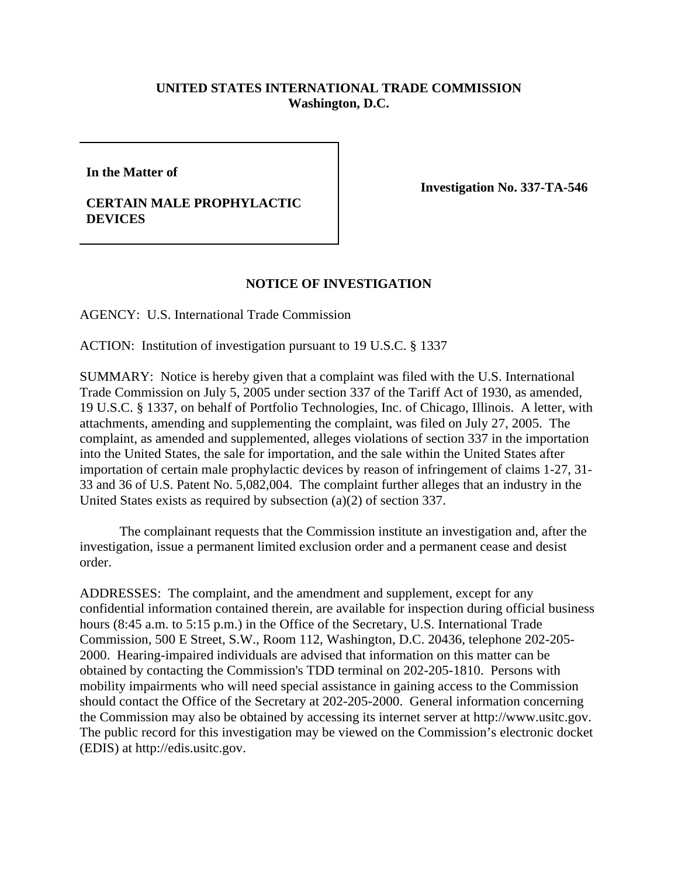## **UNITED STATES INTERNATIONAL TRADE COMMISSION Washington, D.C.**

**In the Matter of**

## **CERTAIN MALE PROPHYLACTIC DEVICES**

**Investigation No. 337-TA-546** 

## **NOTICE OF INVESTIGATION**

AGENCY: U.S. International Trade Commission

ACTION: Institution of investigation pursuant to 19 U.S.C. § 1337

SUMMARY: Notice is hereby given that a complaint was filed with the U.S. International Trade Commission on July 5, 2005 under section 337 of the Tariff Act of 1930, as amended, 19 U.S.C. § 1337, on behalf of Portfolio Technologies, Inc. of Chicago, Illinois. A letter, with attachments, amending and supplementing the complaint, was filed on July 27, 2005. The complaint, as amended and supplemented, alleges violations of section 337 in the importation into the United States, the sale for importation, and the sale within the United States after importation of certain male prophylactic devices by reason of infringement of claims 1-27, 31- 33 and 36 of U.S. Patent No. 5,082,004. The complaint further alleges that an industry in the United States exists as required by subsection (a)(2) of section 337.

The complainant requests that the Commission institute an investigation and, after the investigation, issue a permanent limited exclusion order and a permanent cease and desist order.

ADDRESSES: The complaint, and the amendment and supplement, except for any confidential information contained therein, are available for inspection during official business hours (8:45 a.m. to 5:15 p.m.) in the Office of the Secretary, U.S. International Trade Commission, 500 E Street, S.W., Room 112, Washington, D.C. 20436, telephone 202-205- 2000. Hearing-impaired individuals are advised that information on this matter can be obtained by contacting the Commission's TDD terminal on 202-205-1810. Persons with mobility impairments who will need special assistance in gaining access to the Commission should contact the Office of the Secretary at 202-205-2000. General information concerning the Commission may also be obtained by accessing its internet server at http://www.usitc.gov. The public record for this investigation may be viewed on the Commission's electronic docket (EDIS) at http://edis.usitc.gov.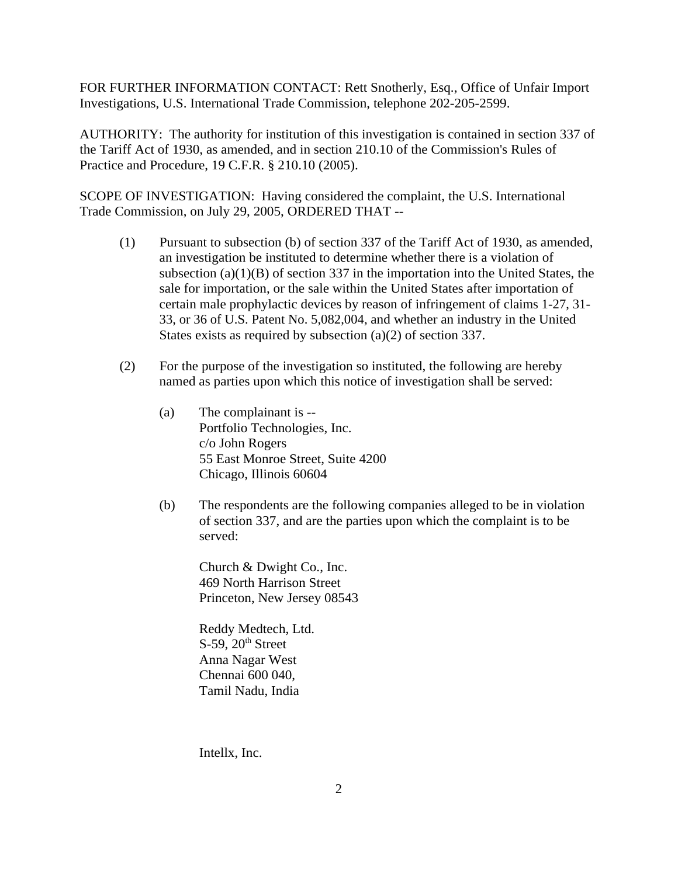FOR FURTHER INFORMATION CONTACT: Rett Snotherly, Esq., Office of Unfair Import Investigations, U.S. International Trade Commission, telephone 202-205-2599.

AUTHORITY: The authority for institution of this investigation is contained in section 337 of the Tariff Act of 1930, as amended, and in section 210.10 of the Commission's Rules of Practice and Procedure, 19 C.F.R. § 210.10 (2005).

SCOPE OF INVESTIGATION: Having considered the complaint, the U.S. International Trade Commission, on July 29, 2005, ORDERED THAT --

- (1) Pursuant to subsection (b) of section 337 of the Tariff Act of 1930, as amended, an investigation be instituted to determine whether there is a violation of subsection  $(a)(1)(B)$  of section 337 in the importation into the United States, the sale for importation, or the sale within the United States after importation of certain male prophylactic devices by reason of infringement of claims 1-27, 31- 33, or 36 of U.S. Patent No. 5,082,004, and whether an industry in the United States exists as required by subsection (a)(2) of section 337.
- (2) For the purpose of the investigation so instituted, the following are hereby named as parties upon which this notice of investigation shall be served:
	- (a) The complainant is -- Portfolio Technologies, Inc. c/o John Rogers 55 East Monroe Street, Suite 4200 Chicago, Illinois 60604
	- (b) The respondents are the following companies alleged to be in violation of section 337, and are the parties upon which the complaint is to be served:

Church & Dwight Co., Inc. 469 North Harrison Street Princeton, New Jersey 08543

Reddy Medtech, Ltd.  $S-59$ ,  $20<sup>th</sup>$  Street Anna Nagar West Chennai 600 040, Tamil Nadu, India

Intellx, Inc.